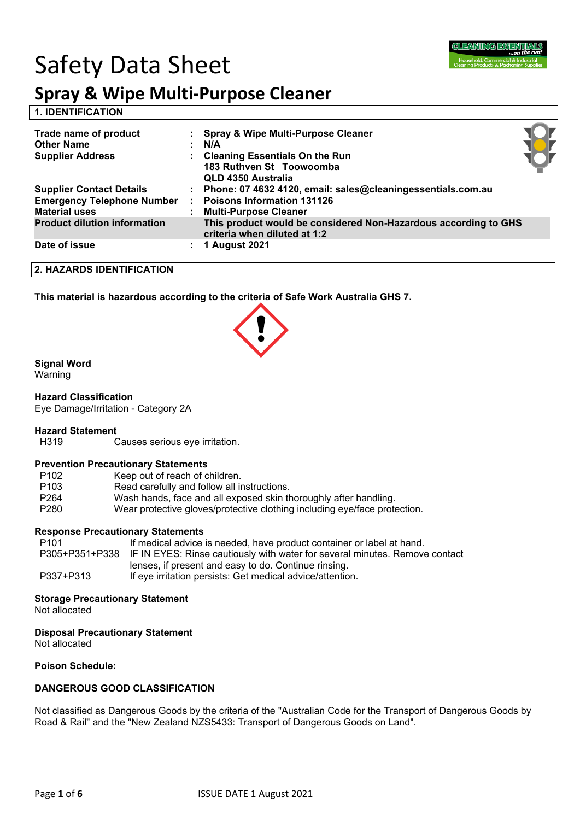

# Safety Data Sheet

## **Spray & Wipe Multi-Purpose Cleaner**

**1. IDENTIFICATION** 

| Trade name of product<br><b>Other Name</b><br><b>Supplier Address</b> | : Spray & Wipe Multi-Purpose Cleaner<br>N/A<br>: Cleaning Essentials On the Run<br>183 Ruthven St Toowoomba<br>QLD 4350 Australia |  |
|-----------------------------------------------------------------------|-----------------------------------------------------------------------------------------------------------------------------------|--|
| <b>Supplier Contact Details</b>                                       | Phone: 07 4632 4120, email: sales@cleaningessentials.com.au                                                                       |  |
| <b>Emergency Telephone Number</b><br><b>Material uses</b>             | <b>Poisons Information 131126</b><br><b>Multi-Purpose Cleaner</b>                                                                 |  |
| <b>Product dilution information</b>                                   | This product would be considered Non-Hazardous according to GHS<br>criteria when diluted at 1:2                                   |  |
| Date of issue                                                         | <b>1 August 2021</b>                                                                                                              |  |

**2. HAZARDS IDENTIFICATION**

**This material is hazardous according to the criteria of Safe Work Australia GHS 7.**

#### **Signal Word**

Warning

**Hazard Classification** Eye Damage/Irritation - Category 2A

### **Hazard Statement**

Causes serious eye irritation.

#### **Prevention Precautionary Statements**

| P <sub>102</sub> | Keep out of reach of children.                                            |
|------------------|---------------------------------------------------------------------------|
| P <sub>103</sub> | Read carefully and follow all instructions.                               |
| P <sub>264</sub> | Wash hands, face and all exposed skin thoroughly after handling.          |
| P <sub>280</sub> | Wear protective gloves/protective clothing including eye/face protection. |

#### **Response Precautionary Statements**

| P101      | If medical advice is needed, have product container or label at hand.                      |
|-----------|--------------------------------------------------------------------------------------------|
|           | P305+P351+P338 IF IN EYES: Rinse cautiously with water for several minutes. Remove contact |
|           | lenses, if present and easy to do. Continue rinsing.                                       |
| P337+P313 | If eye irritation persists: Get medical advice/attention.                                  |

#### **Storage Precautionary Statement**

Not allocated

**Disposal Precautionary Statement**

Not allocated

**Poison Schedule:**

#### **DANGEROUS GOOD CLASSIFICATION**

Not classified as Dangerous Goods by the criteria of the "Australian Code for the Transport of Dangerous Goods by Road & Rail" and the "New Zealand NZS5433: Transport of Dangerous Goods on Land".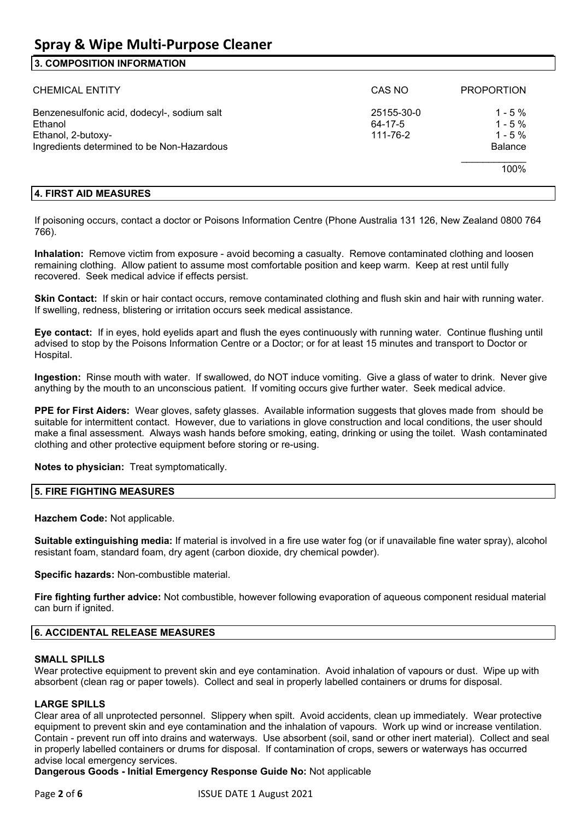### **Spray & Wipe Multi-Purpose Cleaner**

#### **3. COMPOSITION INFORMATION**

| <b>CHEMICAL ENTITY</b>                                                                                                     | CAS NO                            | <b>PROPORTION</b>                                    |
|----------------------------------------------------------------------------------------------------------------------------|-----------------------------------|------------------------------------------------------|
| Benzenesulfonic acid, dodecyl-, sodium salt<br>Ethanol<br>Ethanol, 2-butoxy-<br>Ingredients determined to be Non-Hazardous | 25155-30-0<br>64-17-5<br>111-76-2 | $1 - 5\%$<br>$1 - 5\%$<br>$1 - 5%$<br><b>Balance</b> |
|                                                                                                                            |                                   | 100%                                                 |

#### **4. FIRST AID MEASURES**

If poisoning occurs, contact a doctor or Poisons Information Centre (Phone Australia 131 126, New Zealand 0800 764 766).

**Inhalation:** Remove victim from exposure - avoid becoming a casualty. Remove contaminated clothing and loosen remaining clothing. Allow patient to assume most comfortable position and keep warm. Keep at rest until fully recovered. Seek medical advice if effects persist.

**Skin Contact:** If skin or hair contact occurs, remove contaminated clothing and flush skin and hair with running water. If swelling, redness, blistering or irritation occurs seek medical assistance.

**Eye contact:** If in eyes, hold eyelids apart and flush the eyes continuously with running water. Continue flushing until advised to stop by the Poisons Information Centre or a Doctor; or for at least 15 minutes and transport to Doctor or Hospital.

**Ingestion:** Rinse mouth with water. If swallowed, do NOT induce vomiting. Give a glass of water to drink. Never give anything by the mouth to an unconscious patient. If vomiting occurs give further water. Seek medical advice.

**PPE for First Aiders:** Wear gloves, safety glasses. Available information suggests that gloves made from should be suitable for intermittent contact. However, due to variations in glove construction and local conditions, the user should make a final assessment. Always wash hands before smoking, eating, drinking or using the toilet. Wash contaminated clothing and other protective equipment before storing or re-using.

**Notes to physician:** Treat symptomatically.

#### **5. FIRE FIGHTING MEASURES**

**Hazchem Code:** Not applicable.

**Suitable extinguishing media:** If material is involved in a fire use water fog (or if unavailable fine water spray), alcohol resistant foam, standard foam, dry agent (carbon dioxide, dry chemical powder).

**Specific hazards:** Non-combustible material.

**Fire fighting further advice:** Not combustible, however following evaporation of aqueous component residual material can burn if ignited.

#### **6. ACCIDENTAL RELEASE MEASURES**

#### **SMALL SPILLS**

Wear protective equipment to prevent skin and eye contamination. Avoid inhalation of vapours or dust. Wipe up with absorbent (clean rag or paper towels). Collect and seal in properly labelled containers or drums for disposal.

#### **LARGE SPILLS**

Clear area of all unprotected personnel. Slippery when spilt. Avoid accidents, clean up immediately. Wear protective equipment to prevent skin and eye contamination and the inhalation of vapours. Work up wind or increase ventilation. Contain - prevent run off into drains and waterways. Use absorbent (soil, sand or other inert material). Collect and seal in properly labelled containers or drums for disposal. If contamination of crops, sewers or waterways has occurred advise local emergency services.

**Dangerous Goods - Initial Emergency Response Guide No:** Not applicable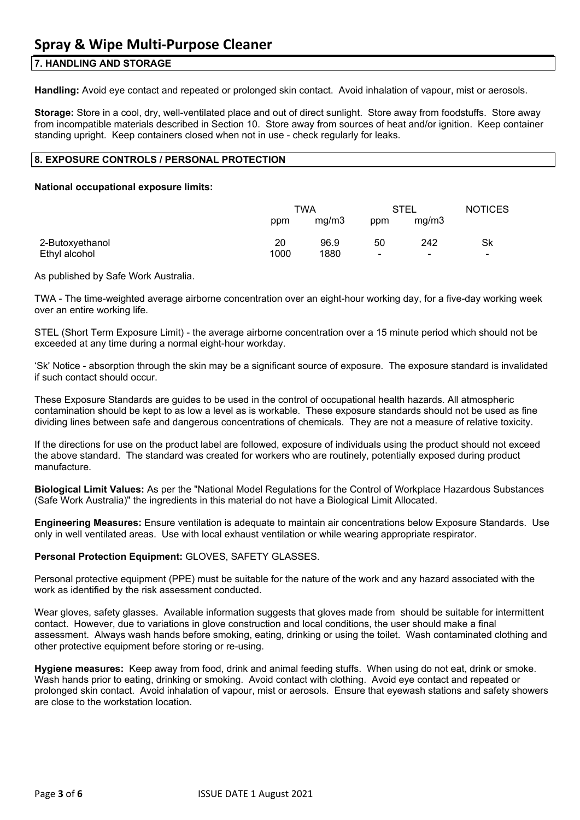#### **7. HANDLING AND STORAGE**

**Handling:** Avoid eye contact and repeated or prolonged skin contact. Avoid inhalation of vapour, mist or aerosols.

**Storage:** Store in a cool, dry, well-ventilated place and out of direct sunlight. Store away from foodstuffs. Store away from incompatible materials described in Section 10. Store away from sources of heat and/or ignition. Keep container standing upright. Keep containers closed when not in use - check regularly for leaks.

#### **8. EXPOSURE CONTROLS / PERSONAL PROTECTION**

#### **National occupational exposure limits:**

|                 | TWA  |       | STEL           |       | <b>NOTICES</b> |
|-----------------|------|-------|----------------|-------|----------------|
|                 | ppm  | mq/m3 | ppm            | mg/m3 |                |
| 2-Butoxyethanol | 20   | 96.9  | 50             | 242   | Sk             |
| Ethyl alcohol   | 1000 | 1880  | $\blacksquare$ | -     | -              |

As published by Safe Work Australia.

TWA - The time-weighted average airborne concentration over an eight-hour working day, for a five-day working week over an entire working life.

STEL (Short Term Exposure Limit) - the average airborne concentration over a 15 minute period which should not be exceeded at any time during a normal eight-hour workday.

'Sk' Notice - absorption through the skin may be a significant source of exposure. The exposure standard is invalidated if such contact should occur.

These Exposure Standards are guides to be used in the control of occupational health hazards. All atmospheric contamination should be kept to as low a level as is workable. These exposure standards should not be used as fine dividing lines between safe and dangerous concentrations of chemicals. They are not a measure of relative toxicity.

If the directions for use on the product label are followed, exposure of individuals using the product should not exceed the above standard. The standard was created for workers who are routinely, potentially exposed during product manufacture.

**Biological Limit Values:** As per the "National Model Regulations for the Control of Workplace Hazardous Substances (Safe Work Australia)" the ingredients in this material do not have a Biological Limit Allocated.

**Engineering Measures:** Ensure ventilation is adequate to maintain air concentrations below Exposure Standards. Use only in well ventilated areas. Use with local exhaust ventilation or while wearing appropriate respirator.

#### **Personal Protection Equipment:** GLOVES, SAFETY GLASSES.

Personal protective equipment (PPE) must be suitable for the nature of the work and any hazard associated with the work as identified by the risk assessment conducted.

Wear gloves, safety glasses. Available information suggests that gloves made from should be suitable for intermittent contact. However, due to variations in glove construction and local conditions, the user should make a final assessment. Always wash hands before smoking, eating, drinking or using the toilet. Wash contaminated clothing and other protective equipment before storing or re-using.

**Hygiene measures:** Keep away from food, drink and animal feeding stuffs. When using do not eat, drink or smoke. Wash hands prior to eating, drinking or smoking. Avoid contact with clothing. Avoid eye contact and repeated or prolonged skin contact. Avoid inhalation of vapour, mist or aerosols. Ensure that eyewash stations and safety showers are close to the workstation location.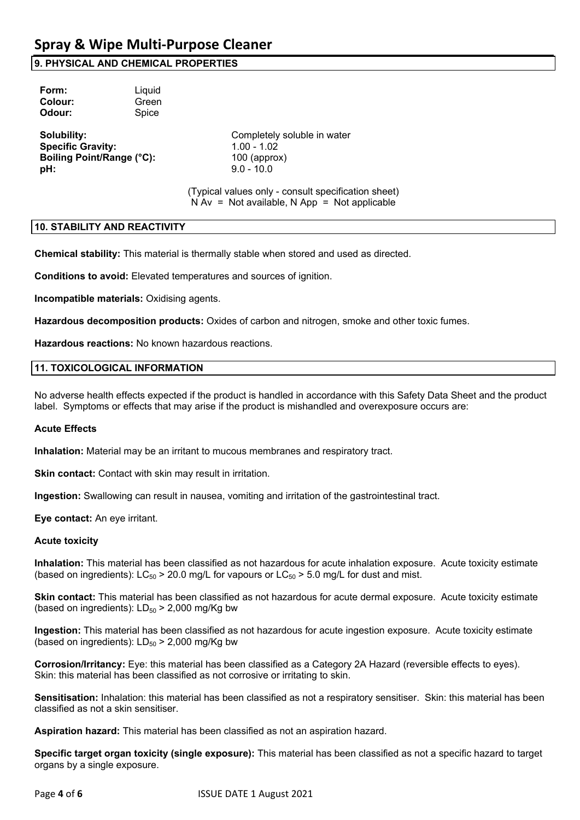#### **9. PHYSICAL AND CHEMICAL PROPERTIES**

| Form:   | Liquid |
|---------|--------|
| Colour: | Green  |
| Odour:  | Spice  |
|         |        |

**Specific Gravity:** 1.00 - 1.02 **Boiling Point/Range (°C):** 100 (approx) **pH:** 9.0 - 10.0

**Solubility:** Completely soluble in water

(Typical values only - consult specification sheet)  $N Av = Not available, N App = Not applicable$ 

#### **10. STABILITY AND REACTIVITY**

**Chemical stability:** This material is thermally stable when stored and used as directed.

**Conditions to avoid:** Elevated temperatures and sources of ignition.

**Incompatible materials:** Oxidising agents.

**Hazardous decomposition products:** Oxides of carbon and nitrogen, smoke and other toxic fumes.

**Hazardous reactions:** No known hazardous reactions.

#### **11. TOXICOLOGICAL INFORMATION**

No adverse health effects expected if the product is handled in accordance with this Safety Data Sheet and the product label. Symptoms or effects that may arise if the product is mishandled and overexposure occurs are:

#### **Acute Effects**

**Inhalation:** Material may be an irritant to mucous membranes and respiratory tract.

**Skin contact:** Contact with skin may result in irritation.

**Ingestion:** Swallowing can result in nausea, vomiting and irritation of the gastrointestinal tract.

**Eye contact:** An eye irritant.

#### **Acute toxicity**

**Inhalation:** This material has been classified as not hazardous for acute inhalation exposure. Acute toxicity estimate (based on ingredients):  $LC_{50} > 20.0$  mg/L for vapours or  $LC_{50} > 5.0$  mg/L for dust and mist.

**Skin contact:** This material has been classified as not hazardous for acute dermal exposure. Acute toxicity estimate (based on ingredients):  $LD_{50}$  > 2,000 mg/Kg bw

**Ingestion:** This material has been classified as not hazardous for acute ingestion exposure. Acute toxicity estimate (based on ingredients):  $LD_{50}$  > 2,000 mg/Kg bw

**Corrosion/Irritancy:** Eye: this material has been classified as a Category 2A Hazard (reversible effects to eyes). Skin: this material has been classified as not corrosive or irritating to skin.

**Sensitisation:** Inhalation: this material has been classified as not a respiratory sensitiser. Skin: this material has been classified as not a skin sensitiser.

**Aspiration hazard:** This material has been classified as not an aspiration hazard.

**Specific target organ toxicity (single exposure):** This material has been classified as not a specific hazard to target organs by a single exposure.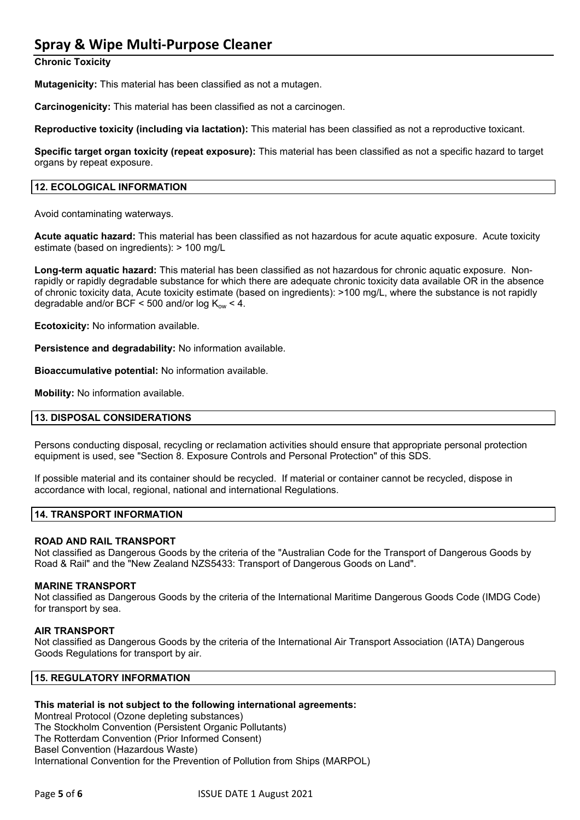### **Spray & Wipe Multi-Purpose Cleaner**

**Chronic Toxicity**

**Mutagenicity:** This material has been classified as not a mutagen.

**Carcinogenicity:** This material has been classified as not a carcinogen.

**Reproductive toxicity (including via lactation):** This material has been classified as not a reproductive toxicant.

**Specific target organ toxicity (repeat exposure):** This material has been classified as not a specific hazard to target organs by repeat exposure.

#### **12. ECOLOGICAL INFORMATION**

Avoid contaminating waterways.

**Acute aquatic hazard:** This material has been classified as not hazardous for acute aquatic exposure. Acute toxicity estimate (based on ingredients): > 100 mg/L

**Long-term aquatic hazard:** This material has been classified as not hazardous for chronic aquatic exposure. Nonrapidly or rapidly degradable substance for which there are adequate chronic toxicity data available OR in the absence of chronic toxicity data, Acute toxicity estimate (based on ingredients): >100 mg/L, where the substance is not rapidly degradable and/or BCF < 500 and/or  $log K_{ow}$  < 4.

**Ecotoxicity:** No information available.

**Persistence and degradability:** No information available.

**Bioaccumulative potential:** No information available.

**Mobility:** No information available.

#### **13. DISPOSAL CONSIDERATIONS**

Persons conducting disposal, recycling or reclamation activities should ensure that appropriate personal protection equipment is used, see "Section 8. Exposure Controls and Personal Protection" of this SDS.

If possible material and its container should be recycled. If material or container cannot be recycled, dispose in accordance with local, regional, national and international Regulations.

#### **14. TRANSPORT INFORMATION**

#### **ROAD AND RAIL TRANSPORT**

Not classified as Dangerous Goods by the criteria of the "Australian Code for the Transport of Dangerous Goods by Road & Rail" and the "New Zealand NZS5433: Transport of Dangerous Goods on Land".

#### **MARINE TRANSPORT**

Not classified as Dangerous Goods by the criteria of the International Maritime Dangerous Goods Code (IMDG Code) for transport by sea.

#### **AIR TRANSPORT**

Not classified as Dangerous Goods by the criteria of the International Air Transport Association (IATA) Dangerous Goods Regulations for transport by air.

#### **15. REGULATORY INFORMATION**

#### **This material is not subject to the following international agreements:**

Montreal Protocol (Ozone depleting substances) The Stockholm Convention (Persistent Organic Pollutants) The Rotterdam Convention (Prior Informed Consent) Basel Convention (Hazardous Waste) International Convention for the Prevention of Pollution from Ships (MARPOL)